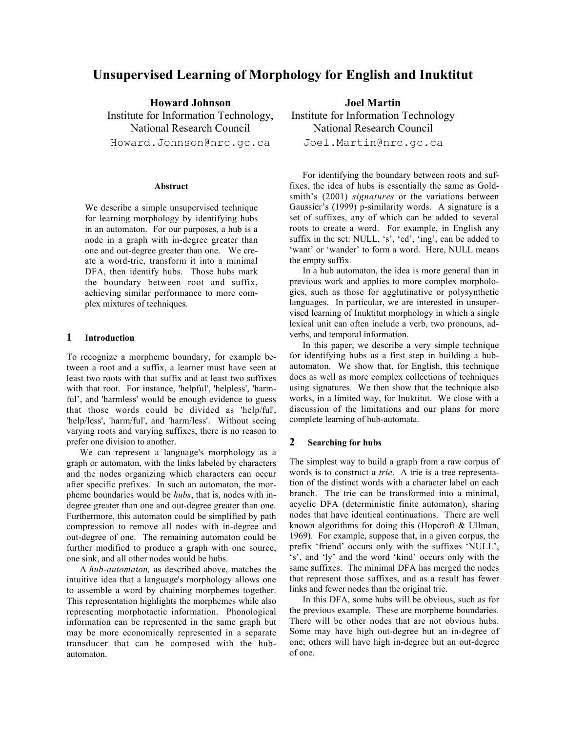# **Unsupervised Learning of Morphology for English and Inuktitut**

**Howard Johnson** Institute for Information Technology, National Research Council Howard.Johnson@nrc.gc.ca

#### **Abstract**

We describe a simple unsupervised technique for learning morphology by identifying hubs in an automaton. For our purposes, a hub is a node in a graph with in-degree greater than one and out-degree greater than one. We create a word-trie, transform it into a minimal DFA, then identify hubs. Those hubs mark the boundary between root and suffix, achieving similar performance to more complex mixtures of techniques.

# **1 Introduction**

To recognize a morpheme boundary, for example between a root and a suffix, a learner must have seen at least two roots with that suffix and at least two suffixes with that root. For instance, 'helpful', 'helpless', 'harmful', and 'harmless' would be enough evidence to guess that those words could be divided as 'help/ful', 'help/less', 'harm/ful', and 'harm/less'. Without seeing varying roots and varying suffixes, there is no reason to prefer one division to another.

We can represent a language's morphology as a graph or automaton, with the links labeled by characters and the nodes organizing which characters can occur after specific prefixes. In such an automaton, the morpheme boundaries would be *hubs*, that is, nodes with indegree greater than one and out-degree greater than one. Furthermore, this automaton could be simplified by path compression to remove all nodes with in-degree and out-degree of one. The remaining automaton could be further modified to produce a graph with one source, one sink, and all other nodes would be hubs.

A *hub-automaton,* as described above, matches the intuitive idea that a language's morphology allows one to assemble a word by chaining morphemes together. This representation highlights the morphemes while also representing morphotactic information. Phonological information can be represented in the same graph but may be more economically represented in a separate transducer that can be composed with the hubautomaton.

**Joel Martin** Institute for Information Technology National Research Council

Joel.Martin@nrc.gc.ca

For identifying the boundary between roots and suffixes, the idea of hubs is essentially the same as Goldsmith's (2001) *signatures* or the variations between Gaussier's (1999) p-similarity words. A signature is a set of suffixes, any of which can be added to several roots to create a word. For example, in English any suffix in the set: NULL, 's', 'ed', 'ing', can be added to 'want' or 'wander' to form a word. Here, NULL means the empty suffix.

In a hub automaton, the idea is more general than in previous work and applies to more complex morphologies, such as those for agglutinative or polysynthetic languages. In particular, we are interested in unsupervised learning of Inuktitut morphology in which a single lexical unit can often include a verb, two pronouns, adverbs, and temporal information.

In this paper, we describe a very simple technique for identifying hubs as a first step in building a hubautomaton. We show that, for English, this technique does as well as more complex collections of techniques using signatures. We then show that the technique also works, in a limited way, for Inuktitut. We close with a discussion of the limitations and our plans for more complete learning of hub-automata.

## **2 Searching for hubs**

The simplest way to build a graph from a raw corpus of words is to construct a *trie*. A trie is a tree representation of the distinct words with a character label on each branch. The trie can be transformed into a minimal, acyclic DFA (deterministic finite automaton), sharing nodes that have identical continuations. There are well known algorithms for doing this (Hopcroft & Ullman, 1969). For example, suppose that, in a given corpus, the prefix 'friend' occurs only with the suffixes 'NULL', 's', and 'ly' and the word 'kind' occurs only with the same suffixes. The minimal DFA has merged the nodes that represent those suffixes, and as a result has fewer links and fewer nodes than the original trie.

In this DFA, some hubs will be obvious, such as for the previous example. These are morpheme boundaries. There will be other nodes that are not obvious hubs. Some may have high out-degree but an in-degree of one; others will have high in-degree but an out-degree of one.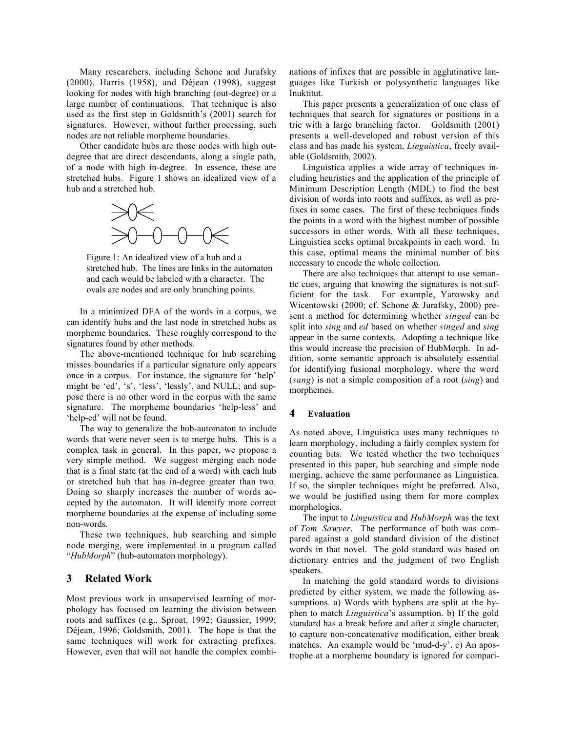Many researchers, including Schone and Jurafsky (2000), Harris (1958), and Déjean (1998), suggest looking for nodes with high branching (out-degree) or a large number of continuations. That technique is also used as the first step in Goldsmith's (2001) search for signatures. However, without further processing, such nodes are not reliable morpheme boundaries.

Other candidate hubs are those nodes with high outdegree that are direct descendants, along a single path, of a node with high in-degree. In essence, these are stretched hubs. Figure 1 shows an idealized view of a hub and a stretched hub.



Figure 1: An idealized view of a hub and a stretched hub. The lines are links in the automaton and each would be labeled with a character. The ovals are nodes and are only branching points.

In a minimized DFA of the words in a corpus, we can identify hubs and the last node in stretched hubs as morpheme boundaries. These roughly correspond to the signatures found by other methods.

The above-mentioned technique for hub searching misses boundaries if a particular signature only appears once in a corpus. For instance, the signature for 'help' might be 'ed', 's', 'less', 'lessly', and NULL; and suppose there is no other word in the corpus with the same signature. The morpheme boundaries 'help-less' and 'help-ed' will not be found.

The way to generalize the hub-automaton to include words that were never seen is to merge hubs. This is a complex task in general. In this paper, we propose a very simple method. We suggest merging each node that is a final state (at the end of a word) with each hub or stretched hub that has in-degree greater than two. Doing so sharply increases the number of words accepted by the automaton. It will identify more correct morpheme boundaries at the expense of including some non-words.

These two techniques, hub searching and simple node merging, were implemented in a program called "*HubMorph*" (hub-automaton morphology).

# **3 Related Work**

Most previous work in unsupervised learning of morphology has focused on learning the division between roots and suffixes (e.g., Sproat, 1992; Gaussier, 1999; Déjean, 1996; Goldsmith, 2001). The hope is that the same techniques will work for extracting prefixes. However, even that will not handle the complex combinations of infixes that are possible in agglutinative languages like Turkish or polysynthetic languages like Inuktitut.

This paper presents a generalization of one class of techniques that search for signatures or positions in a trie with a large branching factor. Goldsmith (2001) presents a well-developed and robust version of this class and has made his system, *Linguistica*, freely available (Goldsmith, 2002).

Linguistica applies a wide array of techniques including heuristics and the application of the principle of Minimum Description Length (MDL) to find the best division of words into roots and suffixes, as well as prefixes in some cases. The first of these techniques finds the points in a word with the highest number of possible successors in other words. With all these techniques, Linguistica seeks optimal breakpoints in each word. In this case, optimal means the minimal number of bits necessary to encode the whole collection.

There are also techniques that attempt to use semantic cues, arguing that knowing the signatures is not sufficient for the task. For example, Yarowsky and Wicentowski (2000; cf. Schone & Jurafsky, 2000) present a method for determining whether *singed* can be split into *sing* and *ed* based on whether *singed* and *sing* appear in the same contexts. Adopting a technique like this would increase the precision of HubMorph. In addition, some semantic approach is absolutely essential for identifying fusional morphology, where the word (*sang*) is not a simple composition of a root (*sing*) and morphemes.

## **4 Evaluation**

As noted above, Linguistica uses many techniques to learn morphology, including a fairly complex system for counting bits. We tested whether the two techniques presented in this paper, hub searching and simple node merging, achieve the same performance as Linguistica. If so, the simpler techniques might be preferred. Also, we would be justified using them for more complex morphologies.

The input to *Linguistica* and *HubMorph* was the text of *Tom Sawyer*. The performance of both was compared against a gold standard division of the distinct words in that novel. The gold standard was based on dictionary entries and the judgment of two English speakers.

In matching the gold standard words to divisions predicted by either system, we made the following assumptions. a) Words with hyphens are split at the hyphen to match *Linguistica*'s assumption. b) If the gold standard has a break before and after a single character, to capture non-concatenative modification, either break matches. An example would be 'mud-d-y'. c) An apostrophe at a morpheme boundary is ignored for compari